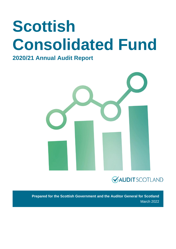# **Scottish Consolidated Fund**

#### **2020/21 Annual Audit Report**



### **VAUDITSCOTLAND**

**Prepared for the Scottish Government and the Auditor General for Scotland** March 2022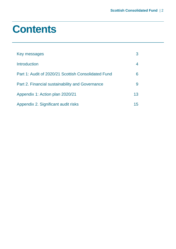### **Contents**

| Key messages                                        |    |
|-----------------------------------------------------|----|
| Introduction                                        |    |
| Part 1: Audit of 2020/21 Scottish Consolidated Fund | 6  |
| Part 2. Financial sustainability and Governance     | 9  |
| Appendix 1: Action plan 2020/21                     | 13 |
| Appendix 2. Significant audit risks                 | 15 |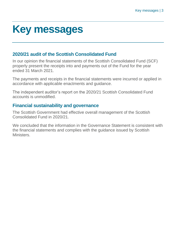### <span id="page-2-0"></span>**Key messages**

#### **2020/21 audit of the Scottish Consolidated Fund**

In our opinion the financial statements of the Scottish Consolidated Fund (SCF) properly present the receipts into and payments out of the Fund for the year ended 31 March 2021.

The payments and receipts in the financial statements were incurred or applied in accordance with applicable enactments and guidance.

The independent auditor's report on the 2020/21 Scottish Consolidated Fund accounts is unmodified.

#### **Financial sustainability and governance**

The Scottish Government had effective overall management of the Scottish Consolidated Fund in 2020/21.

We concluded that the information in the Governance Statement is consistent with the financial statements and complies with the guidance issued by Scottish **Ministers**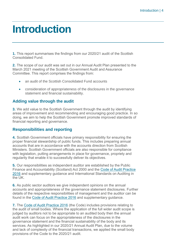### <span id="page-3-0"></span>**Introduction**

**1.** This report summarises the findings from our 2020/21 audit of the Scottish Consolidated Fund.

**2.** The scope of our audit was set out in our Annual Audit Plan presented to the March 2021 meeting of the Scottish Government Audit and Assurance Committee. This report comprises the findings from:

- an audit of the Scottish Consolidated Fund accounts
- consideration of appropriateness of the disclosures in the governance statement and financial sustainability.

#### **Adding value through the audit**

**3.** We add value to the Scottish Government through the audit by identifying areas of improvement and recommending and encouraging good practice. In so doing, we aim to help the Scottish Government promote improved standards of financial reporting and governance.

#### **Responsibilities and reporting**

**4.** Scottish Government officials have primary responsibility for ensuring the proper financial stewardship of public funds. This includes preparing annual accounts that are in accordance with the accounts direction from Scottish Ministers. Scottish Government officials are also responsible for compliance with legislation, putting arrangements in place for governance, propriety and regularity that enable it to successfully deliver its objectives.

**5.** Our responsibilities as independent auditor are established by the Public Finance and Accountability (Scotland) Act 2000 and the [Code of Audit Practice](https://www.audit-scotland.gov.uk/report/code-of-audit-practice-2016)  [2016](https://www.audit-scotland.gov.uk/report/code-of-audit-practice-2016) and supplementary guidance and International Standards on Auditing in the UK.

**6.** As public sector auditors we give independent opinions on the annual accounts and appropriateness of the governance statement disclosures. Further details of the respective responsibilities of management and the auditor can be found in the [Code of Audit Practice 2016](https://www.audit-scotland.gov.uk/report/code-of-audit-practice-2016) and supplementary guidance.

**7.** The [Code of Audit Practice 2016](https://www.audit-scotland.gov.uk/report/code-of-audit-practice-2016) (the Code) includes provisions relating to the audit of small bodies. Where the application of the full wider audit scope is judged by auditors not to be appropriate to an audited body then the annual audit work can focus on the appropriateness of the disclosures in the governance statement and the financial sustainability of the body and its services. As highlighted in our 2020/21 Annual Audit Plan, due to the volume and lack of complexity of the financial transactions, we applied the small body provisions of the Code to the 2020/21 audit.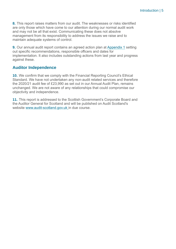**8.** This report raises matters from our audit. The weaknesses or risks identified are only those which have come to our attention during our normal audit work and may not be all that exist. Communicating these does not absolve management from its responsibility to address the issues we raise and to maintain adequate systems of control.

**9.** Our annual audit report contains an agreed action plan at [Appendix 1](#page-12-0) setting out specific recommendations, responsible officers and dates for implementation. It also includes outstanding actions from last year and progress against these.

#### **Auditor Independence**

**10.** We confirm that we comply with the Financial Reporting Council's Ethical Standard. We have not undertaken any non-audit related services and therefore the 2020/21 audit fee of £23,990 as set out in our Annual Audit Plan, remains unchanged. We are not aware of any relationships that could compromise our objectivity and independence.

**11.** This report is addressed to the Scottish Government's Corporate Board and the Auditor General for Scotland and will be published on Audit Scotland's website [www.audit-scotland.gov.uk](http://www.audit-scotland.gov.uk/) in due course.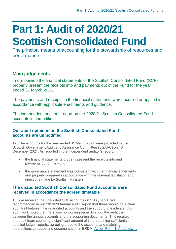## <span id="page-5-0"></span>**Part 1: Audit of 2020/21 Scottish Consolidated Fund**

The principal means of accounting for the stewardship of resources and performance

#### **Main judgements**

In our opinion the financial statements of the Scottish Consolidated Fund (SCF) properly present the receipts into and payments out of the Fund for the year ended 31 March 2021.

The payments and receipts in the financial statements were incurred or applied in accordance with applicable enactments and guidance.

The independent auditor's report on the 2020/21 Scottish Consolidated Fund accounts is unmodified.

#### **Our audit opinions on the Scottish Consolidated Fund accounts are unmodified**

**12.** The accounts for the year ended 31 March 2021 were provided to the Scottish Government Audit and Assurance Committee (SGAAC) on 13 December 2021. As reported in the independent auditor's report:

- the financial statements properly present the receipts into and payments out of the Fund
- the governance statement was consistent with the financial statements and properly prepared in accordance with the relevant legislation and directions made by Scottish Ministers.

#### **The unaudited Scottish Consolidated Fund accounts were received in accordance the agreed timetable**

<span id="page-5-1"></span>**13.** We received the unaudited SCF accounts on 2 July 2021. We recommended in our 2019/20 Annual Audit Report that there should be a clear audit trail between the unaudited accounts and the supporting evidence. Our audit work noted that there was no working paper to show the audit trail between the annual accounts and the supporting documents. This resulted in the audit team spending a significant amount of time obtaining sufficiently detailed ledger reports, agreeing these to the accounts and matching transactions to supporting documentation in ERDM. [Action Point 1, Appendix 1.](#page-12-0)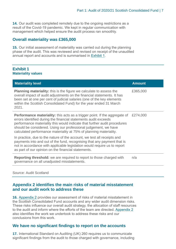**14.** Our audit was completed remotely due to the ongoing restrictions as a result of the Covid-19 pandemic. We kept in regular communication with management which helped ensure the audit process ran smoothly.

#### **Overall materiality was £365,000**

**15.** Our initial assessment of materiality was carried out during the planning phase of the audit. This was reviewed and revised on receipt of the unaudited annual report and accounts and is summarised in [Exhibit](#page-6-0) 1.

#### <span id="page-6-0"></span>**Exhibit 1 Materiality values**

| <b>Materiality level</b>                                                                                                                                                                                                                                                                                                                                                   | <b>Amount</b> |
|----------------------------------------------------------------------------------------------------------------------------------------------------------------------------------------------------------------------------------------------------------------------------------------------------------------------------------------------------------------------------|---------------|
| <b>Planning materiality:</b> this is the figure we calculate to assess the<br>overall impact of audit adjustments on the financial statements. It has<br>been set at one per cent of judicial salaries (one of the key elements<br>within the Scottish Consolidated Fund) for the year ended 31 March<br>2021.                                                             | £365,000      |
| <b>Performance materiality:</b> this acts as a trigger point. If the aggregate of<br>errors identified during the financial statements audit exceeds<br>performance materiality this would indicate that further audit procedures<br>should be considered. Using our professional judgement, we have<br>calculated performance materiality at 75% of planning materiality. | £274,000      |
| In practice, due to the nature of the account, we test all receipts and<br>payments into and out of the fund, recognising that any payment that is<br>not in accordance with applicable legislation would require us to report<br>as part of our opinion on the financial statements.                                                                                      |               |
| <b>Reporting threshold:</b> we are required to report to those charged with<br>governance on all unadjusted misstatements.                                                                                                                                                                                                                                                 | n/a           |

#### Source: Audit Scotland

#### **[Appendix 2](#page-14-0) identifies the main risks of material misstatement and our audit work to address these**

**16.** [Appendix 2](#page-14-0) provides our assessment of risks of material misstatement in the Scottish Consolidated Fund accounts and any wider audit dimension risks. These risks influence our overall audit strategy, the allocation of staff resources to the audit and inform where the efforts of the team are directed. [Appendix 2](#page-14-0) also identifies the work we undertook to address these risks and our conclusions from this work.

#### **We have no significant findings to report on the accounts**

**17.** International Standard on Auditing (UK) 260 requires us to communicate significant findings from the audit to those charged with governance, including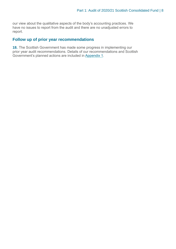our view about the qualitative aspects of the body's accounting practices. We have no issues to report from the audit and there are no unadjusted errors to report.

#### **Follow up of prior year recommendations**

**18.** The Scottish Government has made some progress in implementing our prior year audit recommendations. Details of our recommendations and Scottish Government's planned actions are included in [Appendix 1.](#page-12-0)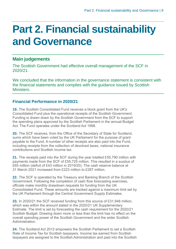### <span id="page-8-0"></span>**Part 2. Financial sustainability and Governance**

#### **Main judgements**

The Scottish Government had effective overall management of the SCF in 2020/21.

We concluded that the information in the governance statement is consistent with the financial statements and complies with the guidance issued by Scottish **Ministers** 

#### **Financial Performance in 2020/21**

**19.** The Scottish Consolidated Fund receives a block grant from the UK's Consolidated Fund plus the operational receipts of the Scottish Government. Funding is drawn down by the Scottish Government from the SCF to support the spending plans approved by the Scottish Parliament in the annual Budget Act. The Fund operates under the Scotland Act 1998.

**20.** The SCF receives, from the Office of the Secretary of State for Scotland, sums which have been voted by the UK Parliament for the purpose of grant payable to the Fund. A number of other receipts are also paid into the Fund, including receipts from the collection of devolved taxes, national insurance contributions and Scottish income tax.

**21.** The receipts paid into the SCF during the year totalled £55,790 million with payments made from the SCF of £55,725 million. This resulted in a surplus of £65 million (deficit of £43 million in 2019/20). The cash reserve balance at 31 March 2021 increased from £223 million to £287 million.

**22.** The SCF is operated by the Treasury and Banking Branch of the Scottish Government. Following the completion of cash flow forecasting exercises, officials make monthly drawdown requests for funding from the UK Consolidated Fund. These amounts are tracked against a maximum limit set by the UK Parliament through the Central Government Supply Estimates.

**23.** In 2020/21 the SCF received funding from this source of £31,948 million, which was within the amount stated in the 2020/21 UK Supplementary Estimate. The limit is set by forecasting the cash requirement for the 2020/21 Scottish Budget. Drawing down more or less than the limit has no effect on the overall spending power of the Scottish Government and the wider Scottish **Administration** 

**24.** The Scotland Act 2012 empowers the Scottish Parliament to set a Scottish Rate of Income Tax for Scottish taxpayers. Income tax earned from Scottish taxpayers are assigned to the Scottish Administration and paid into the Scottish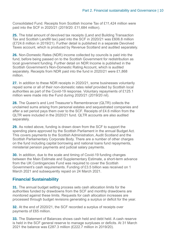Consolidated Fund. Receipts from Scottish Income Tax of £11,424 million were paid into the SCF in 2020/21 (2019/20: £11,684 million).

**25.** The total amount of devolved tax receipts (Land and Building Transaction Tax and Scottish Landfill tax) paid into the SCF in 2020/21 was £606.8 million (£724.6 million in 2019/21). Further detail is published in a separate Devolved Taxes account, which is produced by Revenue Scotland and audited separately.

**26.** Non-Domestic Rates (NDR) income collected by councils is paid into the fund, before being passed on to the Scottish Government for redistribution as local government funding. Further detail on NDR Income is published in the Scottish Government's Non-Domestic Rating Account, which is audited separately. Receipts from NDR paid into the fund in 2020/21 were £1,868 million.

**27.** In addition to these NDR receipts in 2020/21, some businesses voluntarily repaid some or all of their non-domestic rates relief provided by Scottish local authorities as part of the Covid-19 response. Voluntary repayments of £125.1 million were made into the Fund during 2020/21 (2019/20 nil).

**28.** The Queen's and Lord Treasurer's Remembrancer (QLTR) collects the unclaimed sums arising from personal estates and sequestrated companies and after a set period pays them over to the SCF. Receipts of £4.6 million from the QLTR were included in the 2020/21 fund. QLTR accounts are also audited separately.

**29.** As noted above, funding is drawn down from the SCF to support the spending plans approved by the Scottish Parliament in the annual Budget Act. This covers payments to the Scottish Administration, Audit Scotland and the Scottish Parliamentary Corporate Body. There are a number of other charges on the fund including capital borrowing and national loans fund repayments, ministerial pension payments and judicial salary payments.

**30.** In addition, due to the scale and timing of Covid-19 funding changes between the Main Estimate and Supplementary Estimate, a short-term advance from the UK Contingencies Fund was required to cover the Scottish Government's cash requirements. Funding of £3.5 billion was received on 1 March 2021 and subsequently repaid on 24 March 2021.

#### **Financial Sustainability**

**31.** The annual budget setting process sets cash allocation limits for the authorities funded by drawdowns from the SCF and monthly drawdowns are monitored against these limits. Requests for cash allocation increases are processed through budget revisions generating a surplus or deficit for the year.

**32.** At the end of 2020/21, the SCF recorded a surplus of receipts over payments of £65 million.

**33.** The Statement of Balances shows cash held and debt held. A cash reserve is held in the SCF general reserve to manage surpluses or deficits. At 31 March 2021 the balance was £287.3 million (£222.7 million in 2019/20).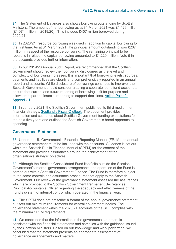**34.** The Statement of Balances also shows borrowing outstanding by Scottish Ministers. The amount of net borrowing as at 31 March 2021 was £1,429 million (£1,074 million in 2019/20). This includes £407 million borrowed during 2020/21.

**35.** In 2020/21, resource borrowing was used in addition to capital borrowing for the first time. As at 31 March 2021, the principal amount outstanding was £207 million in respect of the resource borrowing. The remaining principal to be repaid is in relation to capital borrowing amounted to £1,220 million. Note 5 in the accounts provides further information.

<span id="page-10-0"></span>**36.** In our 2019/20 Annual Audit Report, we recommended that the Scottish Government should review their borrowing disclosures as the level and complexity of borrowing increases. It is important that borrowing levels, sources, payments and liabilities are clearly and comprehensively reported in an annual report and accounts. While disclosure of borrowings continues to improve, the Scottish Government should consider creating a separate loans fund account to ensure that current and future reporting of borrowing is fit for purpose and allows transparent financial reporting to support decisions. [Action Point 2,](#page-12-0)  [Appendix 1](#page-12-0)

**37.** In January 2021, the Scottish Government published its third medium term financial strategy, [Scotland's Fiscal O](https://www.gov.scot/publications/scotlands-fiscal-outlook-scottish-governments-medium-term-financial-strategy/documents/) utlook. The document provides information and scenarios about Scottish Government funding expectations for the next five years and outlines the Scottish Government's broad approach to spending.

#### **Governance Statement**

**38.** Under the UK Government's Financial Reporting Manual (FReM), an annual governance statement must be included with the accounts. Guidance is set out within the Scottish Public Finance Manual (SPFM) for the content of the statement and provides assurances around the achievement of the organisation's strategic objectives.

**39.** Although the Scottish Consolidated Fund itself sits outside the Scottish Government's internal governance arrangements, the operation of the Fund is carried out within Scottish Government Finance. The Fund is therefore subject to the same controls and assurance procedures that apply to the Scottish Government. Our review of the governance statement assessed the assurances which are provided to the Scottish Government Permanent Secretary as Principal Accountable Officer regarding the adequacy and effectiveness of the Fund's system of internal control which operated in the financial year.

**40.** The SPFM does not prescribe a format of the annual governance statement but sets out minimum requirements for central government bodies. The governance statement within the 2020/21 accounts of the SCF complies with the minimum SPFM requirements.

**41.** We concluded that the information in the governance statement is consistent with the financial statements and complies with the guidance issued by the Scottish Ministers. Based on our knowledge and work performed, we concluded that the statement presents an appropriate assessment of governance arrangements and matters.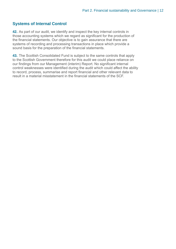#### **Systems of Internal Control**

**42.** As part of our audit, we identify and inspect the key internal controls in those accounting systems which we regard as significant for the production of the financial statements. Our objective is to gain assurance that there are systems of recording and processing transactions in place which provide a sound basis for the preparation of the financial statements.

**43.** The Scottish Consolidated Fund is subject to the same controls that apply to the Scottish Government therefore for this audit we could place reliance on our findings from our Management (interim) Report. No significant internal control weaknesses were identified during the audit which could affect the ability to record, process, summarise and report financial and other relevant data to result in a material misstatement in the financial statements of the SCF.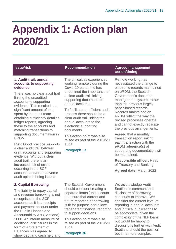## <span id="page-12-0"></span>**Appendix 1: Action plan 2020/21**

#### 1. **Audit trail: annual accounts to supporting evidence**

There was no clear audit trail linking the unaudited accounts to supporting evidence. This resulted in a significant amount of time spent by the audit team obtaining sufficiently detailed ledger reports, agreeing these to the accounts and matching transactions to supporting documentation in ERDM.

Risk: Good practice supports a clear audit trail between draft accounts and supporting evidence. Without a clear audit trail, there is an increased risk of errors occurring in the SCF accounts and/or an adverse audit opinion being issued.

#### **2. Capital Borrowing**

The liability to repay capital and revenue borrowing is not recognised in the SCF accounts as it is a receipts and payment account under the Public Finance and Accountability Act (Scotland) 2000. An interim measure of additional disclosures in the form of a Statement of Balances was agreed to show debt and cash held and

The difficulties experienced working remotely during the Covid-19 pandemic has underlined the importance of a clear audit trail linking supporting documents to annual accounts.

To facilitate an efficient audit process there should be a clear audit trail linking the annual accounts to the electronic supporting documents.

This action point was also raised as part of the 2019/20 audit.

[Paragraph](#page-5-1) 13

#### **Issue/risk Recommendation Agreed management action/timing**

Remote working has necessitated the change to electronic records maintained on eRDM, the Scottish Government's document management system, rather than the previous largely paper-based records. Records maintained on eRDM reflect the way the revised processes operate, and cannot exactly replicate the previous arrangements.

Agreed that a monthly transaction report linking each transaction with the eRDM reference(s) of supporting documentation will be maintained.

**Responsible officer:** Head of Treasury and Banking

**Agreed date:** March 2022

The Scottish Government should consider creating a separate loans fund account to ensure that current and future reporting of borrowing is fit for purpose and allows transparent financial reporting to support decisions.

This action point was also raised as part of the 2019/20 audit.

[Paragraph](#page-10-0) 36

We acknowledge Audit Scotland's comment that disclosure of borrowing continues to improve. We consider the current level of reporting in annual accounts and in fiscal publications to be appropriate, given the complexity of the NLF loans, but would be happy to discuss this further with Audit Scotland should the position become more complex.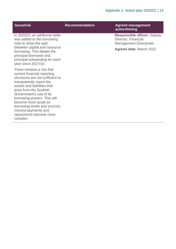| <b>Issue/risk</b>                                                                                                                                                                                                                                                                                                                                                    | <b>Recommendation</b> | <b>Agreed management</b><br>action/timing                                                  |
|----------------------------------------------------------------------------------------------------------------------------------------------------------------------------------------------------------------------------------------------------------------------------------------------------------------------------------------------------------------------|-----------------------|--------------------------------------------------------------------------------------------|
| in 2020/21 an additional table<br>was added to the borrowing<br>note to show the split                                                                                                                                                                                                                                                                               |                       | <b>Responsible officer: Deputy</b><br>Director, Financial<br><b>Management Directorate</b> |
| between capital and resource<br>borrowing. This details the<br>principal borrowed and<br>principal outstanding for each<br>year since 2017/18.                                                                                                                                                                                                                       |                       | <b>Agreed date: March 2022</b>                                                             |
| There remains a risk that<br>current financial reporting<br>structures are not sufficient to<br>transparently report the<br>assets and liabilities that<br>arise from the Scottish<br>Government's use of its<br>borrowing powers. This will<br>become more acute as<br>borrowing levels and sources,<br>interest payments and<br>repayments become more<br>complex. |                       |                                                                                            |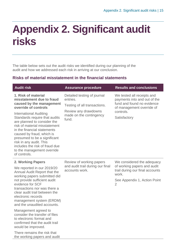### <span id="page-14-0"></span>**Appendix 2. Significant audit risks**

The table below sets out the audit risks we identified during our planning of the audit and how we addressed each risk in arriving at our conclusion.

#### **Risks of material misstatement in the financial statements**

| <b>Audit risk</b>                                                                                                                                                                                                                                                                                                                                                                                                                                                   | <b>Assurance procedure</b>                                                                                                          | <b>Results and conclusions</b>                                                                                                                          |
|---------------------------------------------------------------------------------------------------------------------------------------------------------------------------------------------------------------------------------------------------------------------------------------------------------------------------------------------------------------------------------------------------------------------------------------------------------------------|-------------------------------------------------------------------------------------------------------------------------------------|---------------------------------------------------------------------------------------------------------------------------------------------------------|
| 1. Risk of material<br>misstatement due to fraud<br>caused by the management<br>override of controls<br><b>International Auditing</b><br>Standards require that audits<br>are planned to consider the<br>risk of material misstatement<br>in the financial statements<br>caused by fraud, which is<br>presumed to be a significant<br>risk in any audit. This<br>includes the risk of fraud due<br>to the management override<br>of controls.                       | Detailed testing of journal<br>entries.<br>Testing of all transactions.<br>Review any drawdowns<br>made on the contingency<br>fund. | We tested all receipts and<br>payments into and out of the<br>fund and found no evidence<br>of management override of<br>controls.<br>Satisfactory      |
| 2. Working Papers<br>We reported in our 2019/20<br>Annual Audit Report that the<br>working papers submitted did<br>not provide sufficient audit<br>evidence for SCF<br>transactions nor was there a<br>clear audit trail between the<br>electronic records<br>management system (ERDM)<br>and the unaudited accounts.<br>Management agreed to<br>consider the transfer of files<br>to electronic format and<br>confirmed that the audit trail<br>would be improved. | Review of working papers<br>and audit trail during our final<br>accounts work.                                                      | We considered the adequacy<br>of working papers and audit<br>trail during our final accounts<br>work.<br>See Appendix 1, Action Point<br>$\overline{2}$ |

There remains the risk that the working papers and audit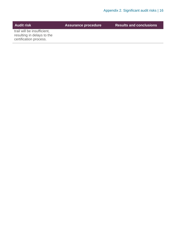| <b>Audit risk</b>                                                                   | <b>Assurance procedure</b> | <b>Results and conclusions</b> |
|-------------------------------------------------------------------------------------|----------------------------|--------------------------------|
| trail will be insufficient,<br>resulting in delays to the<br>certification process. |                            |                                |